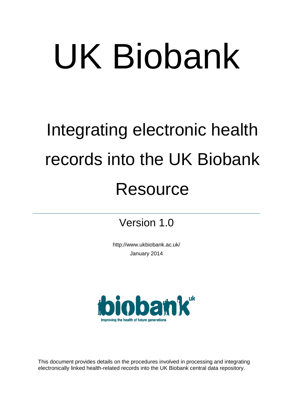# UK Biobank

## Integrating electronic health records into the UK Biobank **Resource**

Version 1.0

http://www.ukbiobank.ac.uk/ January 2014



This document provides details on the procedures involved in processing and integrating electronically linked health-related records into the UK Biobank central data repository.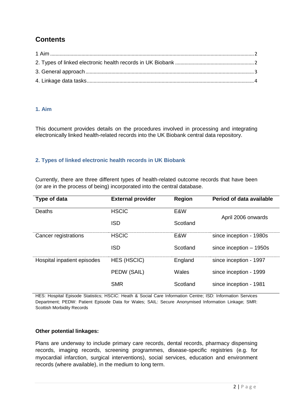### **Contents**

#### <span id="page-1-0"></span>**1. Aim**

This document provides details on the procedures involved in processing and integrating electronically linked health-related records into the UK Biobank central data repository.

#### <span id="page-1-1"></span>**2. Types of linked electronic health records in UK Biobank**

Currently, there are three different types of health-related outcome records that have been (or are in the process of being) incorporated into the central database.

| Type of data                | <b>External provider</b> | <b>Region</b> | Period of data available |
|-----------------------------|--------------------------|---------------|--------------------------|
| Deaths                      | <b>HSCIC</b>             | E&W           | April 2006 onwards       |
|                             | <b>ISD</b>               | Scotland      |                          |
| Cancer registrations        | <b>HSCIC</b>             | E&W           | since inception - 1980s  |
|                             | <b>ISD</b>               | Scotland      | since inception $-1950s$ |
| Hospital inpatient episodes | <b>HES (HSCIC)</b>       | England       | since inception - 1997   |
|                             | PEDW (SAIL)              | Wales         | since inception - 1999   |
|                             | <b>SMR</b>               | Scotland      | since inception - 1981   |

HES: Hospital Episode Statistics; HSCIC: Heath & Social Care Information Centre; ISD: Information Services Department; PEDW: Patient Episode Data for Wales; SAIL: Secure Anonymised Information Linkage; SMR: Scottish Morbidity Records

#### **Other potential linkages:**

Plans are underway to include primary care records, dental records, pharmacy dispensing records, imaging records, screening programmes, disease-specific registries (e.g. for myocardial infarction, surgical interventions), social services, education and environment records (where available), in the medium to long term.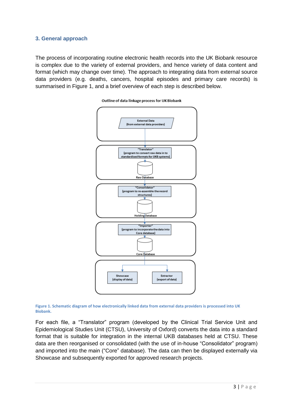#### <span id="page-2-0"></span>**3. General approach**

The process of incorporating routine electronic health records into the UK Biobank resource is complex due to the variety of external providers, and hence variety of data content and format (which may change over time). The approach to integrating data from external source data providers (e.g. deaths, cancers, hospital episodes and primary care records) is summarised in Figure 1, and a brief overview of each step is described below.





**Figure 1. Schematic diagram of how electronically linked data from external data providers is processed into UK Biobank.**

For each file, a "Translator" program (developed by the Clinical Trial Service Unit and Epidemiological Studies Unit (CTSU), University of Oxford) converts the data into a standard format that is suitable for integration in the internal UKB databases held at CTSU. These data are then reorganised or consolidated (with the use of in-house "Consolidator" program) and imported into the main ("Core" database). The data can then be displayed externally via Showcase and subsequently exported for approved research projects.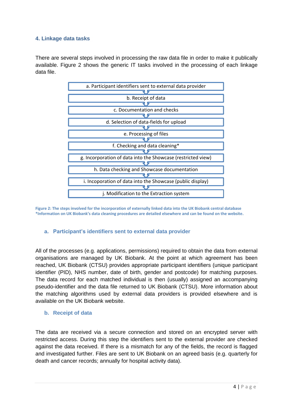#### <span id="page-3-0"></span>**4. Linkage data tasks**

There are several steps involved in processing the raw data file in order to make it publically available. Figure 2 shows the generic IT tasks involved in the processing of each linkage data file.



**Figure 2: The steps involved for the incorporation of externally linked data into the UK Biobank central database \*Information on UK Biobank's data cleaning procedures are detailed elsewhere and can be found on the website.** 

#### **a. Participant's identifiers sent to external data provider**

All of the processes (e.g. applications, permissions) required to obtain the data from external organisations are managed by UK Biobank. At the point at which agreement has been reached, UK Biobank (CTSU) provides appropriate participant identifiers (unique participant identifier (PID), NHS number, date of birth, gender and postcode) for matching purposes. The data record for each matched individual is then (usually) assigned an accompanying pseudo-identifier and the data file returned to UK Biobank (CTSU). More information about the matching algorithms used by external data providers is provided elsewhere and is available on the UK Biobank website.

#### **b. Receipt of data**

The data are received via a secure connection and stored on an encrypted server with restricted access. During this step the identifiers sent to the external provider are checked against the data received. If there is a mismatch for any of the fields, the record is flagged and investigated further. Files are sent to UK Biobank on an agreed basis (e.g. quarterly for death and cancer records; annually for hospital activity data).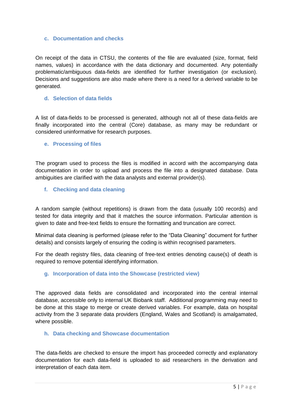#### **c. Documentation and checks**

On receipt of the data in CTSU, the contents of the file are evaluated (size, format, field names, values) in accordance with the data dictionary and documented. Any potentially problematic/ambiguous data-fields are identified for further investigation (or exclusion). Decisions and suggestions are also made where there is a need for a derived variable to be generated.

#### **d. Selection of data fields**

A list of data-fields to be processed is generated, although not all of these data-fields are finally incorporated into the central (Core) database, as many may be redundant or considered uninformative for research purposes.

#### **e. Processing of files**

The program used to process the files is modified in accord with the accompanying data documentation in order to upload and process the file into a designated database. Data ambiguities are clarified with the data analysts and external provider(s).

#### **f. Checking and data cleaning**

A random sample (without repetitions) is drawn from the data (usually 100 records) and tested for data integrity and that it matches the source information. Particular attention is given to date and free-text fields to ensure the formatting and truncation are correct.

Minimal data cleaning is performed (please refer to the "Data Cleaning" document for further details) and consists largely of ensuring the coding is within recognised parameters.

For the death registry files, data cleaning of free-text entries denoting cause(s) of death is required to remove potential identifying information.

#### **g. Incorporation of data into the Showcase (restricted view)**

The approved data fields are consolidated and incorporated into the central internal database, accessible only to internal UK Biobank staff. Additional programming may need to be done at this stage to merge or create derived variables. For example, data on hospital activity from the 3 separate data providers (England, Wales and Scotland) is amalgamated, where possible.

#### **h. Data checking and Showcase documentation**

The data-fields are checked to ensure the import has proceeded correctly and explanatory documentation for each data-field is uploaded to aid researchers in the derivation and interpretation of each data item.